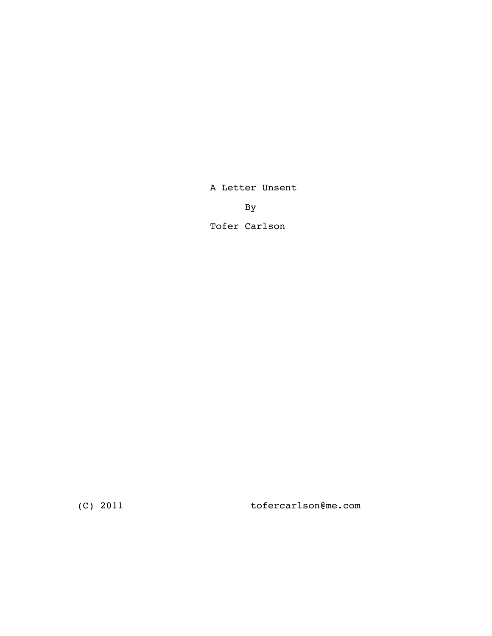A Letter Unsent

By

Tofer Carlson

(C) 2011 tofercarlson@me.com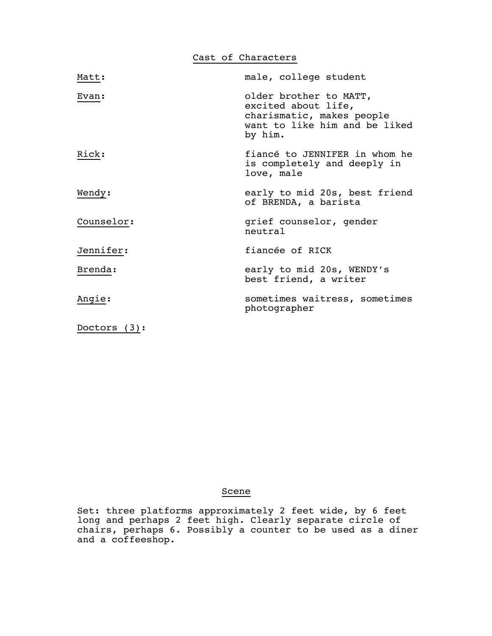Cast of Characters

| Matt:           | male, college student                                                                                                  |
|-----------------|------------------------------------------------------------------------------------------------------------------------|
| Evan:           | older brother to MATT,<br>excited about life,<br>charismatic, makes people<br>want to like him and be liked<br>by him. |
| Rick:           | fiancé to JENNIFER in whom he<br>is completely and deeply in<br>love, male                                             |
| Wendy:          | early to mid 20s, best friend<br>of BRENDA, a barista                                                                  |
| Counselor:      | grief counselor, gender<br>neutral                                                                                     |
| Jennifer:       | fiancée of RICK                                                                                                        |
| Brenda:         | early to mid 20s, WENDY's<br>best friend, a writer                                                                     |
| Angie:          | sometimes waitress, sometimes<br>photographer                                                                          |
| Doctors $(3)$ : |                                                                                                                        |

## Scene

 Set: three platforms approximately 2 feet wide, by 6 feet long and perhaps 2 feet high. Clearly separate circle of chairs, perhaps 6. Possibly a counter to be used as a diner and a coffeeshop.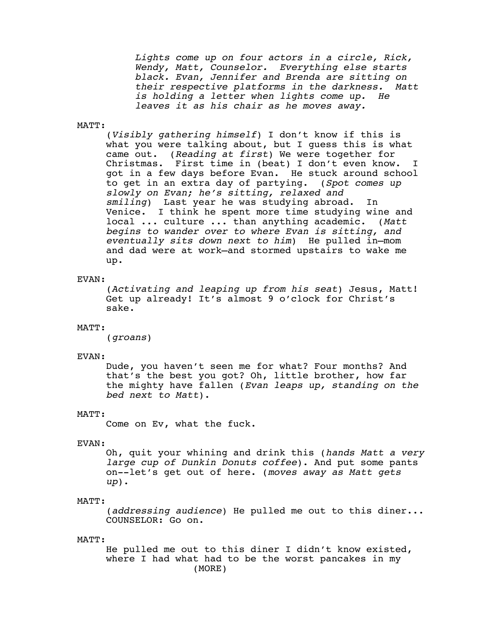Lights come up on four actors in a circle, Rick,<br>Wendy, Matt, Counselor. Everything else starts<br>black. Evan, Jennifer and Brenda are sitting on<br>their respective platforms in the darkness. Matt<br>is holding a letter when ligh

## MATT:

 (*Visibly gathering himself*) I don't know if this is what you were talking about, but I guess this is what came out. (*Reading at first*) We were together for Christmas. First time in (beat) I don't even know. I got in a few days before Evan. He stuck around school to get in an extra day of partying. (*Spot comes up slowly on Evan; he's sitting, relaxed and smiling*) Last year he was studying abroad. In Venice. I think he spent more time studying wine and local ... culture ... than anything academic. (*Matt begins to wander over to where Evan is sitting, and eventually sits down next to him*) He pulled in—mom and dad were at work—and stormed upstairs to wake me up.

#### EVAN:

 (*Activating and leaping up from his seat*) Jesus, Matt! Get up already! It's almost 9 o'clock for Christ's sake.

## MATT:

(*groans*)

## EVAN:

 Dude, you haven't seen me for what? Four months? And that's the best you got? Oh, little brother, how far the mighty have fallen (*Evan leaps up, standing on the bed next to Matt*).

## MATT:

Come on Ev, what the fuck.

## EVAN:

 Oh, quit your whining and drink this (*hands Matt a very large cup of Dunkin Donuts coffee*). And put some pants on--let's get out of here. (*moves away as Matt gets up*).

### MATT:

 (*addressing audience*) He pulled me out to this diner... COUNSELOR: Go on.

#### MATT:

 He pulled me out to this diner I didn't know existed, where I had what had to be the worst pancakes in my (MORE)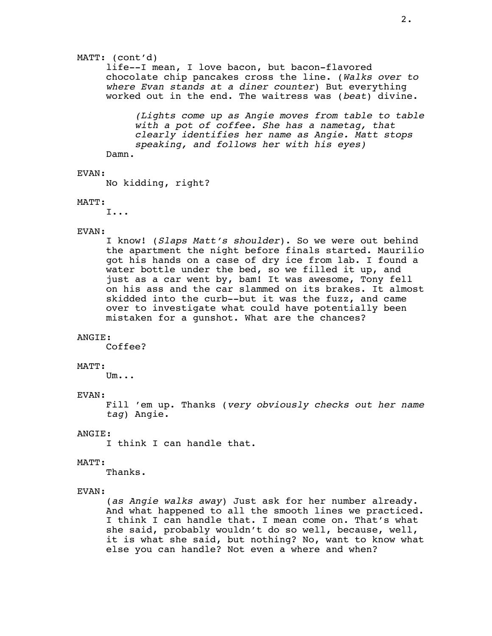## MATT: (cont'd)

 life--I mean, I love bacon, but bacon-flavored chocolate chip pancakes cross the line. (*Walks over to where Evan stands at a diner counter*) But everything worked out in the end. The waitress was (*beat*) divine.

*(Lights come up as Angie moves from table to table with a pot of coffee. She has a nametag, that clearly identifies her name as Angie. Matt stops speaking, and follows her with his eyes)* Damn.

EVAN:

No kidding, right?

## MATT:

I...

## EVAN:

 I know! (*Slaps Matt's shoulder*). So we were out behind the apartment the night before finals started. Maurilio got his hands on a case of dry ice from lab. I found a water bottle under the bed, so we filled it up, and just as a car went by, bam! It was awesome, Tony fell on his ass and the car slammed on its brakes. It almost skidded into the curb--but it was the fuzz, and came over to investigate what could have potentially been mistaken for a gunshot. What are the chances?

#### ANGIE:

Coffee?

#### MATT:

Um...

## EVAN:

 Fill 'em up. Thanks (*very obviously checks out her name tag*) Angie.

## ANGIE:

I think I can handle that.

#### MATT:

Thanks.

## EVAN:

 (*as Angie walks away*) Just ask for her number already. And what happened to all the smooth lines we practiced. I think I can handle that. I mean come on. That's what she said, probably wouldn't do so well, because, well, it is what she said, but nothing? No, want to know what else you can handle? Not even a where and when?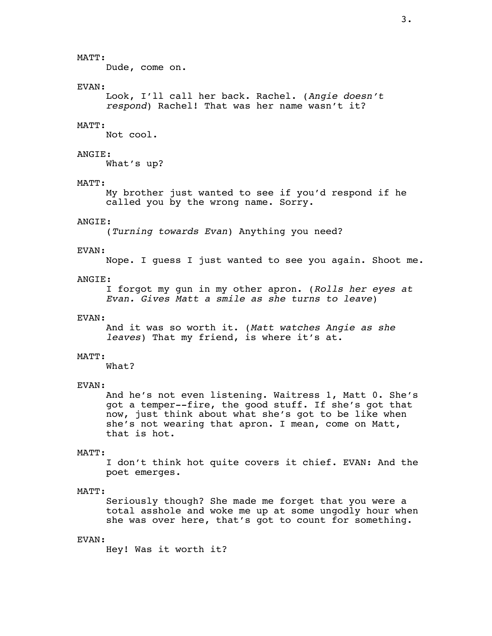## MATT:

Dude, come on.

### EVAN:

Look, I'll call her back. Rachel. (*Angie doesn't respond*) Rachel! That was her name wasn't it?

### MATT:

Not cool.

## ANGIE:

What's up?

## MATT:

 My brother just wanted to see if you'd respond if he called you by the wrong name. Sorry.

#### ANGIE:

(*Turning towards Evan*) Anything you need?

## EVAN:

Nope. I guess I just wanted to see you again. Shoot me.

### ANGIE:

I forgot my gun in my other apron. (*Rolls her eyes at Evan. Gives Matt a smile as she turns to leave*)

#### EVAN:

 And it was so worth it. (*Matt watches Angie as she leaves*) That my friend, is where it's at.

#### MATT:

What?

#### EVAN:

 And he's not even listening. Waitress 1, Matt 0. She's got a temper--fire, the good stuff. If she's got that now, just think about what she's got to be like when she's not wearing that apron. I mean, come on Matt, that is hot.

#### MATT:

 I don't think hot quite covers it chief. EVAN: And the poet emerges.

#### MATT:

 Seriously though? She made me forget that you were a total asshole and woke me up at some ungodly hour when she was over here, that's got to count for something.

#### EVAN:

Hey! Was it worth it?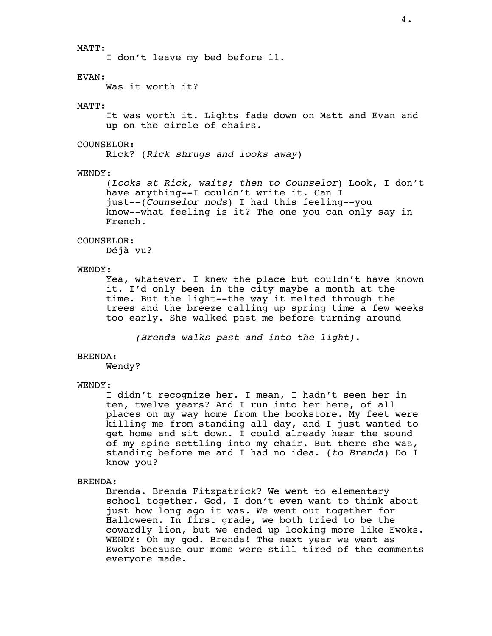## MATT:

I don't leave my bed before 11.

## EVAN:

Was it worth it?

## MATT:

 It was worth it. Lights fade down on Matt and Evan and up on the circle of chairs.

## COUNSELOR:

Rick? (*Rick shrugs and looks away*)

## WENDY:

 (*Looks at Rick, waits; then to Counselor*) Look, I don't have anything--I couldn't write it. Can I just--(*Counselor nods*) I had this feeling--you know--what feeling is it? The one you can only say in French.

## COUNSELOR:

Déjà vu?

## WENDY:

 Yea, whatever. I knew the place but couldn't have known it. I'd only been in the city maybe a month at the time. But the light--the way it melted through the trees and the breeze calling up spring time a few weeks too early. She walked past me before turning around

*(Brenda walks past and into the light).*

## BRENDA:

Wendy?

#### WENDY:

 I didn't recognize her. I mean, I hadn't seen her in ten, twelve years? And I run into her here, of all places on my way home from the bookstore. My feet were killing me from standing all day, and I just wanted to get home and sit down. I could already hear the sound of my spine settling into my chair. But there she was, standing before me and I had no idea. (*to Brenda*) Do I know you?

## BRENDA:

 Brenda. Brenda Fitzpatrick? We went to elementary school together. God, I don't even want to think about just how long ago it was. We went out together for Halloween. In first grade, we both tried to be the cowardly lion, but we ended up looking more like Ewoks. WENDY: Oh my god. Brenda! The next year we went as Ewoks because our moms were still tired of the comments everyone made.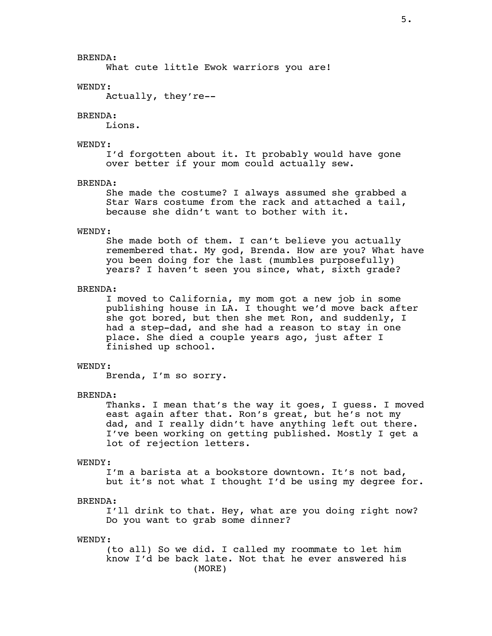## BRENDA:

What cute little Ewok warriors you are!

#### WENDY:

Actually, they're--

#### BRENDA:

Lions.

## WENDY:

 I'd forgotten about it. It probably would have gone over better if your mom could actually sew.

#### BRENDA:

 She made the costume? I always assumed she grabbed a Star Wars costume from the rack and attached a tail, because she didn't want to bother with it.

#### WENDY:

 She made both of them. I can't believe you actually remembered that. My god, Brenda. How are you? What have you been doing for the last (mumbles purposefully) years? I haven't seen you since, what, sixth grade?

## BRENDA:

 I moved to California, my mom got a new job in some publishing house in LA. I thought we'd move back after she got bored, but then she met Ron, and suddenly, I had a step-dad, and she had a reason to stay in one place. She died a couple years ago, just after I finished up school.

## WENDY:

Brenda, I'm so sorry.

## BRENDA:

 Thanks. I mean that's the way it goes, I guess. I moved east again after that. Ron's great, but he's not my dad, and I really didn't have anything left out there. I've been working on getting published. Mostly I get a lot of rejection letters.

#### WENDY:

 I'm a barista at a bookstore downtown. It's not bad, but it's not what I thought I'd be using my degree for.

#### BRENDA:

 I'll drink to that. Hey, what are you doing right now? Do you want to grab some dinner?

#### WENDY:

 (to all) So we did. I called my roommate to let him know I'd be back late. Not that he ever answered his (MORE)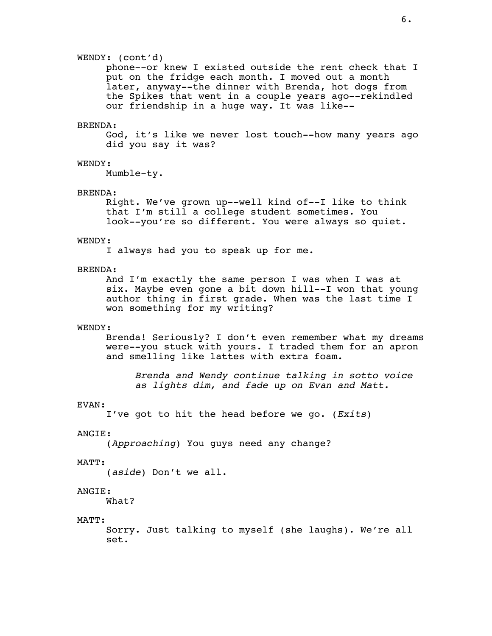## WENDY: (cont'd)

 phone--or knew I existed outside the rent check that I put on the fridge each month. I moved out a month later, anyway--the dinner with Brenda, hot dogs from the Spikes that went in a couple years ago--rekindled our friendship in a huge way. It was like--

## BRENDA:

 God, it's like we never lost touch--how many years ago did you say it was?

## WENDY:

Mumble-ty.

#### BRENDA:

 Right. We've grown up--well kind of--I like to think that I'm still a college student sometimes. You look--you're so different. You were always so quiet.

#### WENDY:

I always had you to speak up for me.

## BRENDA:

 And I'm exactly the same person I was when I was at six. Maybe even gone a bit down hill--I won that young author thing in first grade. When was the last time I won something for my writing?

#### WENDY:

 Brenda! Seriously? I don't even remember what my dreams were--you stuck with yours. I traded them for an apron and smelling like lattes with extra foam.

 *Brenda and Wendy continue talking in sotto voice as lights dim, and fade up on Evan and Matt.*

#### EVAN:

I've got to hit the head before we go. (*Exits*)

#### ANGIE:

(*Approaching*) You guys need any change?

#### MATT:

(*aside*) Don't we all.

#### ANGIE:

What?

#### MATT:

 Sorry. Just talking to myself (she laughs). We're all set.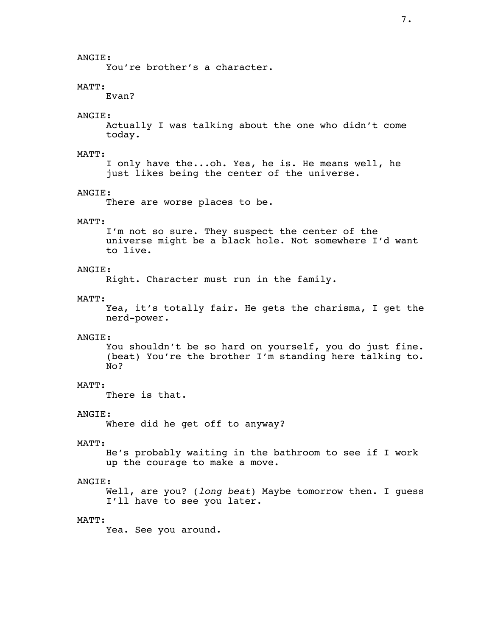You're brother's a character.

## MATT:

Evan?

## ANGIE:

 Actually I was talking about the one who didn't come today.

#### MATT:

 I only have the...oh. Yea, he is. He means well, he just likes being the center of the universe.

#### ANGIE:

There are worse places to be.

#### MATT:

 I'm not so sure. They suspect the center of the universe might be a black hole. Not somewhere I'd want to live.

## ANGIE:

Right. Character must run in the family.

#### MATT:

 Yea, it's totally fair. He gets the charisma, I get the nerd-power.

#### ANGIE:

 You shouldn't be so hard on yourself, you do just fine. (beat) You're the brother I'm standing here talking to. No?

## MATT:

There is that.

## ANGIE:

Where did he get off to anyway?

#### MATT:

 He's probably waiting in the bathroom to see if I work up the courage to make a move.

## ANGIE:

 Well, are you? (*long beat*) Maybe tomorrow then. I guess I'll have to see you later.

## MATT:

Yea. See you around.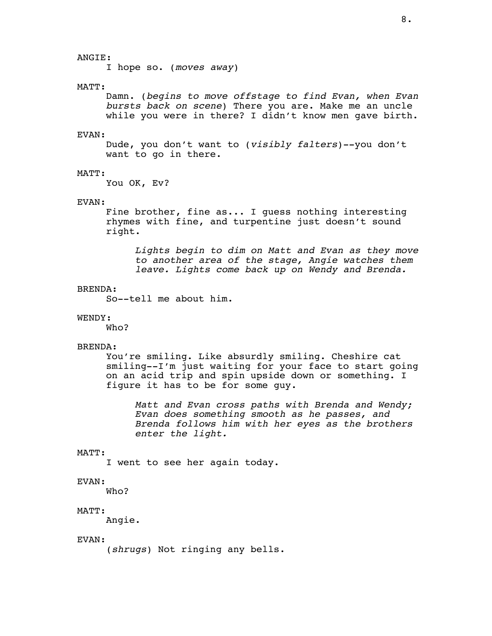## ANGIE:

I hope so. (*moves away*)

#### MATT:

 Damn. (*begins to move offstage to find Evan, when Evan bursts back on scene*) There you are. Make me an uncle while you were in there? I didn't know men gave birth.

#### EVAN:

 Dude, you don't want to (*visibly falters*)--you don't want to go in there.

#### MATT:

You OK, Ev?

## EVAN:

 Fine brother, fine as... I guess nothing interesting rhymes with fine, and turpentine just doesn't sound right.

*Lights begin to dim on Matt and Evan as they move to another area of the stage, Angie watches them leave. Lights come back up on Wendy and Brenda.*

### BRENDA:

So--tell me about him.

## WENDY:

Who?

#### BRENDA:

 You're smiling. Like absurdly smiling. Cheshire cat smiling--I'm just waiting for your face to start going on an acid trip and spin upside down or something. I figure it has to be for some guy.

 *Matt and Evan cross paths with Brenda and Wendy; Evan does something smooth as he passes, and Brenda follows him with her eyes as the brothers enter the light.*

#### MATT:

I went to see her again today.

## EVAN:

Who?

## MATT:

Angie.

### EVAN:

(*shrugs*) Not ringing any bells.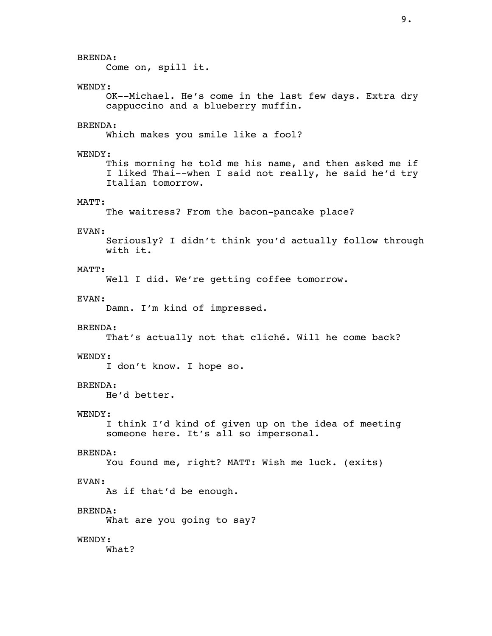BRENDA: Come on, spill it. WENDY: OK--Michael. He's come in the last few days. Extra dry cappuccino and a blueberry muffin. BRENDA: Which makes you smile like a fool? WENDY: This morning he told me his name, and then asked me if I liked Thai--when I said not really, he said he'd try Italian tomorrow. MATT: The waitress? From the bacon-pancake place? EVAN: Seriously? I didn't think you'd actually follow through with it. MATT: Well I did. We're getting coffee tomorrow. EVAN: Damn. I'm kind of impressed. BRENDA: That's actually not that cliché. Will he come back? WENDY: I don't know. I hope so. BRENDA: He'd better. WENDY: I think I'd kind of given up on the idea of meeting someone here. It's all so impersonal. BRENDA: You found me, right? MATT: Wish me luck. (exits) EVAN: As if that'd be enough. BRENDA: What are you going to say? WENDY: What?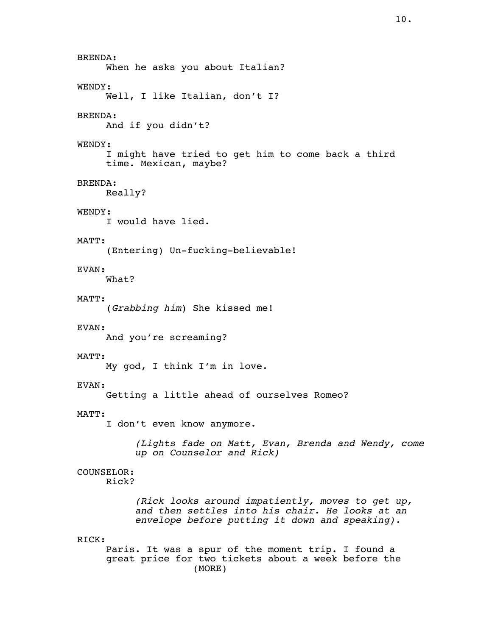BRENDA: When he asks you about Italian? WENDY: Well, I like Italian, don't I? BRENDA: And if you didn't? WENDY: I might have tried to get him to come back a third time. Mexican, maybe? BRENDA: Really? WENDY: I would have lied. MATT: (Entering) Un-fucking-believable! EVAN: What? MATT: (*Grabbing him*) She kissed me! EVAN: And you're screaming? MATT: My god, I think I'm in love. EVAN: Getting a little ahead of ourselves Romeo? MATT: I don't even know anymore. *(Lights fade on Matt, Evan, Brenda and Wendy, come up on Counselor and Rick)* COUNSELOR: Rick? *(Rick looks around impatiently, moves to get up, and then settles into his chair. He looks at an envelope before putting it down and speaking).* RICK: Paris. It was a spur of the moment trip. I found a great price for two tickets about a week before the (MORE)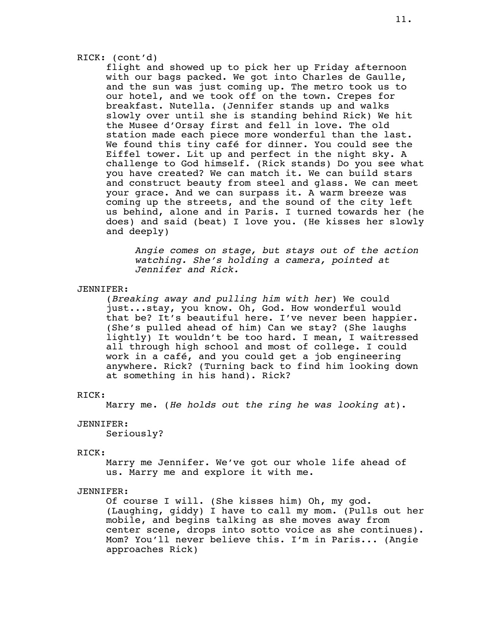## RICK: (cont'd)

 flight and showed up to pick her up Friday afternoon with our bags packed. We got into Charles de Gaulle, and the sun was just coming up. The metro took us to our hotel, and we took off on the town. Crepes for breakfast. Nutella. (Jennifer stands up and walks slowly over until she is standing behind Rick) We hit the Musee d'Orsay first and fell in love. The old station made each piece more wonderful than the last. We found this tiny café for dinner. You could see the Eiffel tower. Lit up and perfect in the night sky. A challenge to God himself. (Rick stands) Do you see what you have created? We can match it. We can build stars and construct beauty from steel and glass. We can meet your grace. And we can surpass it. A warm breeze was coming up the streets, and the sound of the city left us behind, alone and in Paris. I turned towards her (he does) and said (beat) I love you. (He kisses her slowly and deeply)

*Angie comes on stage, but stays out of the action watching. She's holding a camera, pointed at Jennifer and Rick.*

### JENNIFER:

 (*Breaking away and pulling him with her*) We could just...stay, you know. Oh, God. How wonderful would that be? It's beautiful here. I've never been happier. (She's pulled ahead of him) Can we stay? (She laughs lightly) It wouldn't be too hard. I mean, I waitressed all through high school and most of college. I could work in a café, and you could get a job engineering anywhere. Rick? (Turning back to find him looking down at something in his hand). Rick?

#### RICK:

Marry me. (*He holds out the ring he was looking at*).

## JENNIFER:

Seriously?

#### RICK:

 Marry me Jennifer. We've got our whole life ahead of us. Marry me and explore it with me.

## JENNIFER:

 Of course I will. (She kisses him) Oh, my god. (Laughing, giddy) I have to call my mom. (Pulls out her mobile, and begins talking as she moves away from center scene, drops into sotto voice as she continues). Mom? You'll never believe this. I'm in Paris... (Angie approaches Rick)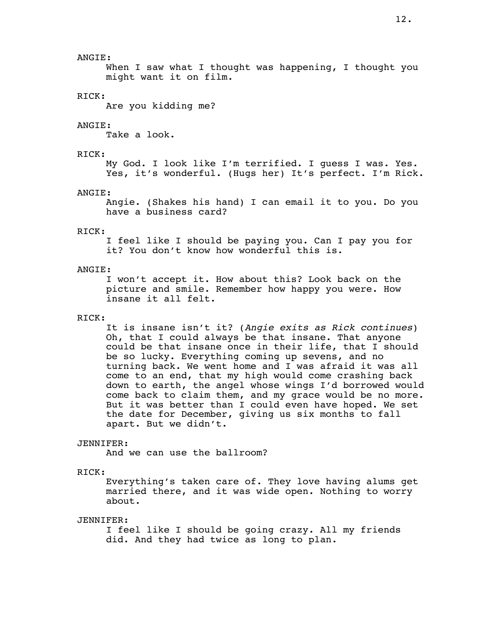## ANGIE:

 When I saw what I thought was happening, I thought you might want it on film.

## RICK:

Are you kidding me?

## ANGIE:

Take a look.

## RICK:

 My God. I look like I'm terrified. I guess I was. Yes. Yes, it's wonderful. (Hugs her) It's perfect. I'm Rick.

#### ANGIE:

 Angie. (Shakes his hand) I can email it to you. Do you have a business card?

### RICK:

 I feel like I should be paying you. Can I pay you for it? You don't know how wonderful this is.

## ANGIE:

 I won't accept it. How about this? Look back on the picture and smile. Remember how happy you were. How insane it all felt.

## RICK:

 It is insane isn't it? (*Angie exits as Rick continues*) Oh, that I could always be that insane. That anyone could be that insane once in their life, that I should be so lucky. Everything coming up sevens, and no turning back. We went home and I was afraid it was all come to an end, that my high would come crashing back down to earth, the angel whose wings I'd borrowed would come back to claim them, and my grace would be no more. But it was better than I could even have hoped. We set the date for December, giving us six months to fall apart. But we didn't.

#### JENNIFER:

And we can use the ballroom?

#### RICK:

 Everything's taken care of. They love having alums get married there, and it was wide open. Nothing to worry about.

## JENNIFER:

 I feel like I should be going crazy. All my friends did. And they had twice as long to plan.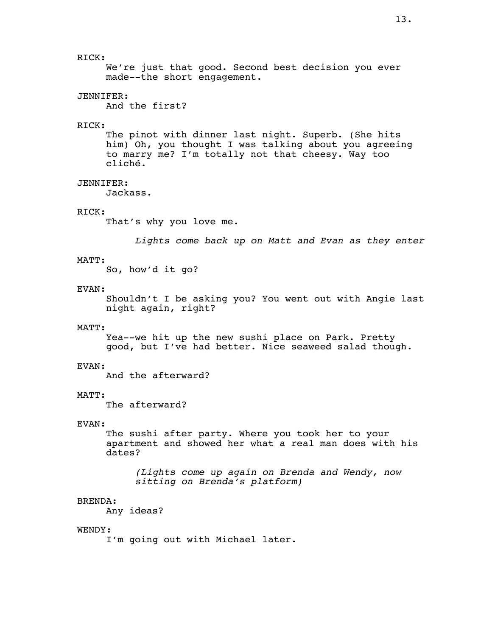We're just that good. Second best decision you ever made--the short engagement.

## JENNIFER:

And the first?

## RICK:

 The pinot with dinner last night. Superb. (She hits him) Oh, you thought I was talking about you agreeing to marry me? I'm totally not that cheesy. Way too cliché.

## JENNIFER:

Jackass.

## RICK:

That's why you love me.

*Lights come back up on Matt and Evan as they enter*

## MATT:

So, how'd it go?

## EVAN:

 Shouldn't I be asking you? You went out with Angie last night again, right?

#### MATT:

 Yea--we hit up the new sushi place on Park. Pretty good, but I've had better. Nice seaweed salad though.

#### EVAN:

And the afterward?

## MATT:

The afterward?

## EVAN:

 The sushi after party. Where you took her to your apartment and showed her what a real man does with his dates?

 *(Lights come up again on Brenda and Wendy, now sitting on Brenda's platform)*

#### BRENDA:

Any ideas?

### WENDY:

I'm going out with Michael later.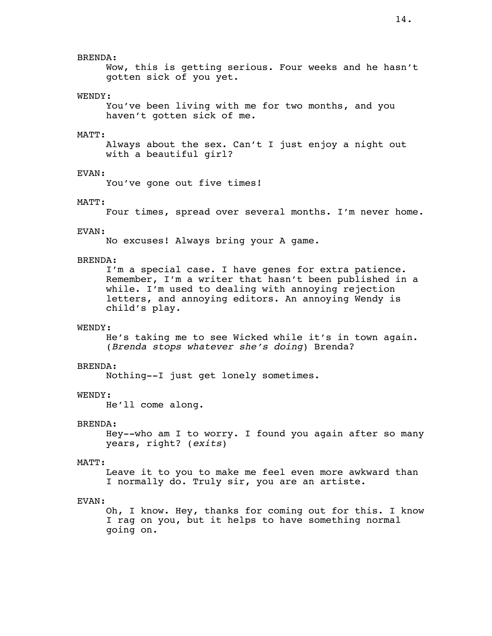## BRENDA:

 Wow, this is getting serious. Four weeks and he hasn't gotten sick of you yet.

## WENDY:

 You've been living with me for two months, and you haven't gotten sick of me.

#### MATT:

 Always about the sex. Can't I just enjoy a night out with a beautiful girl?

#### EVAN:

You've gone out five times!

## MATT:

Four times, spread over several months. I'm never home.

#### EVAN:

No excuses! Always bring your A game.

## BRENDA:

 I'm a special case. I have genes for extra patience. Remember, I'm a writer that hasn't been published in a while. I'm used to dealing with annoying rejection letters, and annoying editors. An annoying Wendy is child's play.

#### WENDY:

 He's taking me to see Wicked while it's in town again. (*Brenda stops whatever she's doing*) Brenda?

#### BRENDA:

Nothing--I just get lonely sometimes.

#### WENDY:

He'll come along.

## BRENDA:

 Hey--who am I to worry. I found you again after so many years, right? (*exits*)

#### MATT:

 Leave it to you to make me feel even more awkward than I normally do. Truly sir, you are an artiste.

### EVAN:

 Oh, I know. Hey, thanks for coming out for this. I know I rag on you, but it helps to have something normal going on.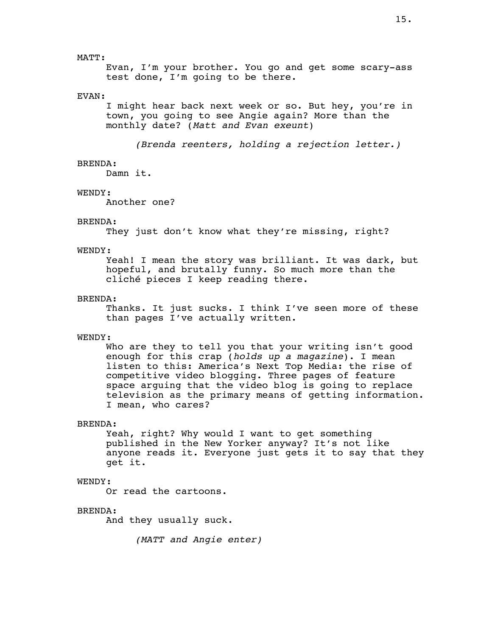MATT:

 Evan, I'm your brother. You go and get some scary-ass test done, I'm going to be there.

## EVAN:

 I might hear back next week or so. But hey, you're in town, you going to see Angie again? More than the monthly date? (*Matt and Evan exeunt*)

*(Brenda reenters, holding a rejection letter.)*

## BRENDA:

Damn it.

#### WENDY:

Another one?

#### BRENDA:

They just don't know what they're missing, right?

## WENDY:

 Yeah! I mean the story was brilliant. It was dark, but hopeful, and brutally funny. So much more than the cliché pieces I keep reading there.

#### BRENDA:

 Thanks. It just sucks. I think I've seen more of these than pages I've actually written.

#### WENDY:

 Who are they to tell you that your writing isn't good enough for this crap (*holds up a magazine*). I mean listen to this: America's Next Top Media: the rise of competitive video blogging. Three pages of feature space arguing that the video blog is going to replace television as the primary means of getting information. I mean, who cares?

## BRENDA:

 Yeah, right? Why would I want to get something published in the New Yorker anyway? It's not like anyone reads it. Everyone just gets it to say that they get it.

## WENDY:

Or read the cartoons.

#### BRENDA:

And they usually suck.

*(MATT and Angie enter)*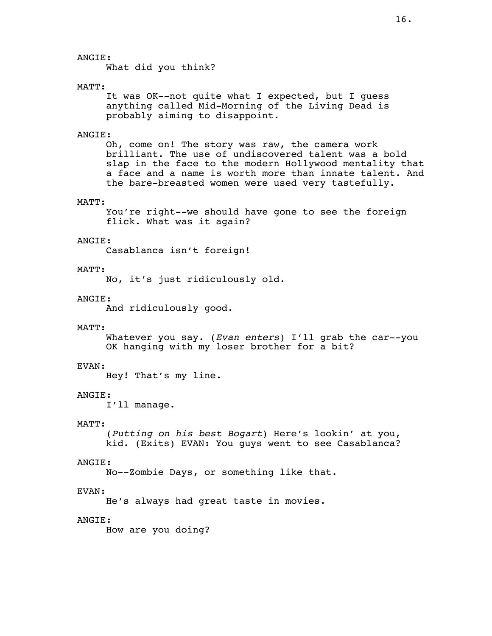## ANGIE:

What did you think?

#### MATT:

 It was OK--not quite what I expected, but I guess anything called Mid-Morning of the Living Dead is probably aiming to disappoint.

### ANGIE:

 Oh, come on! The story was raw, the camera work brilliant. The use of undiscovered talent was a bold slap in the face to the modern Hollywood mentality that a face and a name is worth more than innate talent. And the bare-breasted women were used very tastefully.

## MATT:

 You're right--we should have gone to see the foreign flick. What was it again?

### ANGIE:

Casablanca isn't foreign!

#### MATT:

No, it's just ridiculously old.

#### ANGIE:

And ridiculously good.

#### MATT:

 Whatever you say. (*Evan enters*) I'll grab the car--you OK hanging with my loser brother for a bit?

#### EVAN:

Hey! That's my line.

## ANGIE:

I'll manage.

#### MATT:

 (*Putting on his best Bogart*) Here's lookin' at you, kid. (Exits) EVAN: You guys went to see Casablanca?

## ANGIE:

No--Zombie Days, or something like that.

#### EVAN:

He's always had great taste in movies.

## ANGIE:

How are you doing?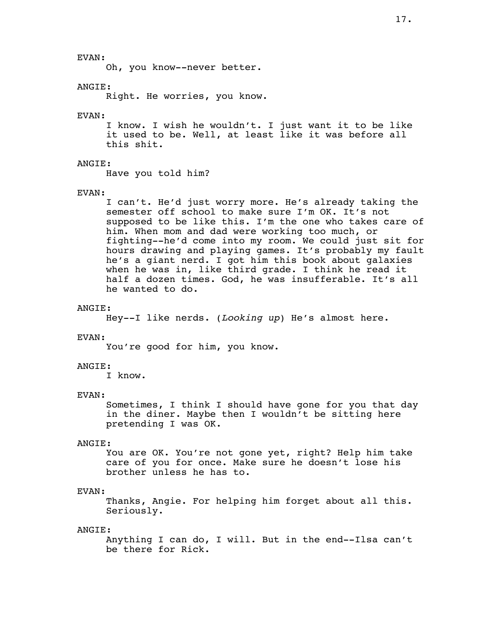EVAN:

Oh, you know--never better.

### ANGIE:

Right. He worries, you know.

#### EVAN:

 I know. I wish he wouldn't. I just want it to be like it used to be. Well, at least like it was before all this shit.

## ANGIE:

Have you told him?

#### EVAN:

 I can't. He'd just worry more. He's already taking the semester off school to make sure I'm OK. It's not supposed to be like this. I'm the one who takes care of him. When mom and dad were working too much, or fighting--he'd come into my room. We could just sit for hours drawing and playing games. It's probably my fault he's a giant nerd. I got him this book about galaxies when he was in, like third grade. I think he read it half a dozen times. God, he was insufferable. It's all he wanted to do.

## ANGIE:

Hey--I like nerds. (*Looking up*) He's almost here.

#### EVAN:

You're good for him, you know.

#### ANGIE:

I know.

## EVAN:

 Sometimes, I think I should have gone for you that day in the diner. Maybe then I wouldn't be sitting here pretending I was OK.

## ANGIE:

 You are OK. You're not gone yet, right? Help him take care of you for once. Make sure he doesn't lose his brother unless he has to.

#### EVAN:

 Thanks, Angie. For helping him forget about all this. Seriously.

### ANGIE:

 Anything I can do, I will. But in the end--Ilsa can't be there for Rick.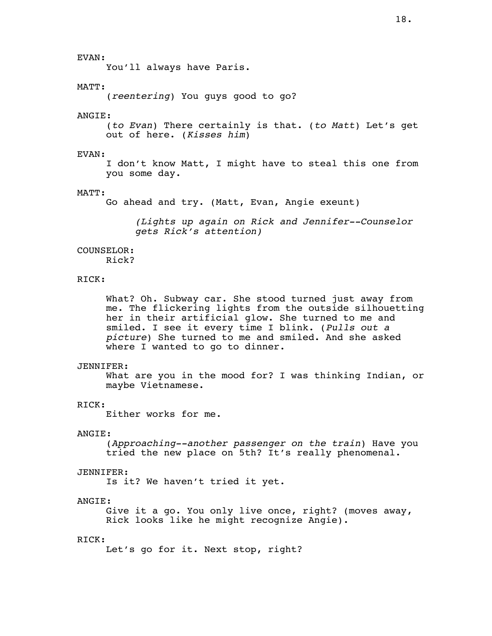## EVAN:

You'll always have Paris.

## MATT:

(*reentering*) You guys good to go?

#### ANGIE:

 (*to Evan*) There certainly is that. (*to Matt*) Let's get out of here. (*Kisses him*)

## EVAN:

 I don't know Matt, I might have to steal this one from you some day.

#### MATT:

Go ahead and try. (Matt, Evan, Angie exeunt)

*(Lights up again on Rick and Jennifer--Counselor gets Rick's attention)*

### COUNSELOR:

Rick?

## RICK:

 What? Oh. Subway car. She stood turned just away from me. The flickering lights from the outside silhouetting her in their artificial glow. She turned to me and smiled. I see it every time I blink. (*Pulls out a picture*) She turned to me and smiled. And she asked where I wanted to go to dinner.

#### JENNIFER:

What are you in the mood for? I was thinking Indian, or maybe Vietnamese.

## RICK:

Either works for me.

## ANGIE:

 (*Approaching--another passenger on the train*) Have you tried the new place on 5th? It's really phenomenal.

#### JENNIFER:

Is it? We haven't tried it yet.

### ANGIE:

 Give it a go. You only live once, right? (moves away, Rick looks like he might recognize Angie).

#### RICK:

Let's go for it. Next stop, right?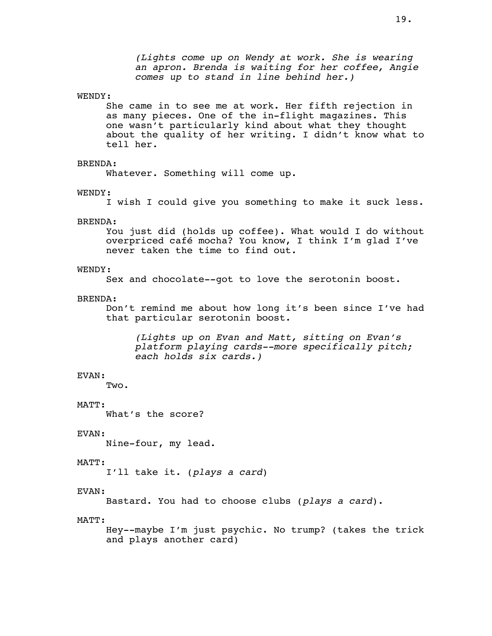#### WENDY:

 She came in to see me at work. Her fifth rejection in as many pieces. One of the in-flight magazines. This one wasn't particularly kind about what they thought about the quality of her writing. I didn't know what to tell her.

## BRENDA:

Whatever. Something will come up.

#### WENDY:

I wish I could give you something to make it suck less.

#### BRENDA:

 You just did (holds up coffee). What would I do without overpriced café mocha? You know, I think I'm glad I've never taken the time to find out.

## WENDY:

Sex and chocolate--got to love the serotonin boost.

#### BRENDA:

 Don't remind me about how long it's been since I've had that particular serotonin boost.

 *(Lights up on Evan and Matt, sitting on Evan's platform playing cards--more specifically pitch; each holds six cards.)*

## EVAN:

Two.

#### MATT:

What's the score?

#### EVAN:

Nine-four, my lead.

#### MATT:

I'll take it. (*plays a card*)

#### EVAN:

Bastard. You had to choose clubs (*plays a card*).

### MATT:

 Hey--maybe I'm just psychic. No trump? (takes the trick and plays another card)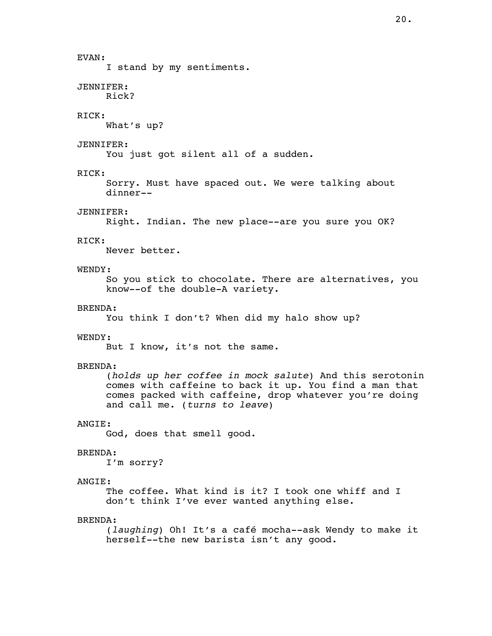# EVAN: I stand by my sentiments. JENNIFER: Rick? RICK: What's up? JENNIFER: You just got silent all of a sudden. RICK: Sorry. Must have spaced out. We were talking about dinner-- JENNIFER: Right. Indian. The new place--are you sure you OK? RICK: Never better. WENDY: So you stick to chocolate. There are alternatives, you know--of the double-A variety. BRENDA: You think I don't? When did my halo show up? WENDY: But I know, it's not the same. BRENDA:

 (*holds up her coffee in mock salute*) And this serotonin comes with caffeine to back it up. You find a man that comes packed with caffeine, drop whatever you're doing and call me. (*turns to leave*)

## ANGIE:

God, does that smell good.

## BRENDA:

I'm sorry?

## ANGIE:

 The coffee. What kind is it? I took one whiff and I don't think I've ever wanted anything else.

## BRENDA:

 (*laughing*) Oh! It's a café mocha--ask Wendy to make it herself--the new barista isn't any good.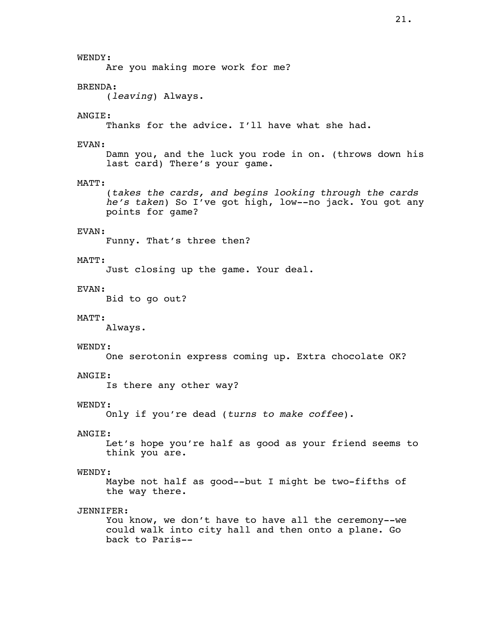Are you making more work for me?

## BRENDA:

WENDY:

(*leaving*) Always.

## ANGIE:

Thanks for the advice. I'll have what she had.

## EVAN:

 Damn you, and the luck you rode in on. (throws down his last card) There's your game.

## MATT:

 (*takes the cards, and begins looking through the cards he's taken*) So I've got high, low--no jack. You got any points for game?

## EVAN:

Funny. That's three then?

## MATT:

Just closing up the game. Your deal.

## EVAN:

Bid to go out?

## MATT:

Always.

## WENDY:

One serotonin express coming up. Extra chocolate OK?

## ANGIE:

Is there any other way?

## WENDY:

Only if you're dead (*turns to make coffee*).

## ANGIE:

 Let's hope you're half as good as your friend seems to think you are.

## WENDY:

 Maybe not half as good--but I might be two-fifths of the way there.

## JENNIFER:

 You know, we don't have to have all the ceremony--we could walk into city hall and then onto a plane. Go back to Paris--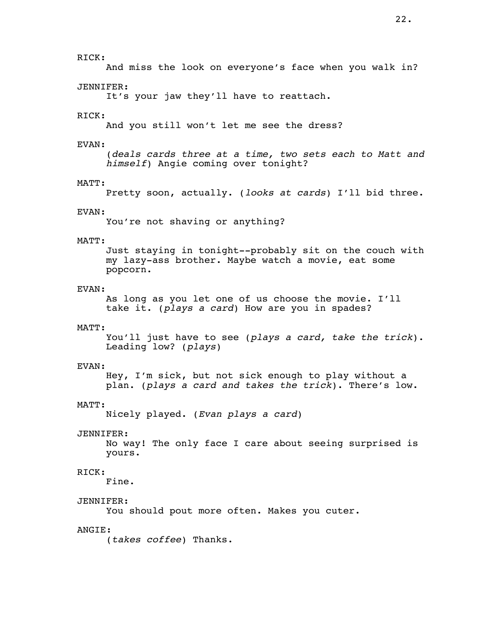## RICK:

And miss the look on everyone's face when you walk in?

#### JENNIFER:

It's your jaw they'll have to reattach.

#### RICK:

And you still won't let me see the dress?

### EVAN:

(*deals cards three at a time, two sets each to Matt and himself*) Angie coming over tonight?

## MATT:

Pretty soon, actually. (*looks at cards*) I'll bid three.

#### EVAN:

You're not shaving or anything?

## MATT:

 Just staying in tonight--probably sit on the couch with my lazy-ass brother. Maybe watch a movie, eat some popcorn.

## EVAN:

 As long as you let one of us choose the movie. I'll take it. (*plays a card*) How are you in spades?

## MATT:

 You'll just have to see (*plays a card, take the trick*). Leading low? (*plays*)

#### EVAN:

 Hey, I'm sick, but not sick enough to play without a plan. (*plays a card and takes the trick*). There's low.

## MATT:

Nicely played. (*Evan plays a card*)

#### JENNIFER:

 No way! The only face I care about seeing surprised is yours.

## RICK:

Fine.

## JENNIFER:

You should pout more often. Makes you cuter.

## ANGIE:

(*takes coffee*) Thanks.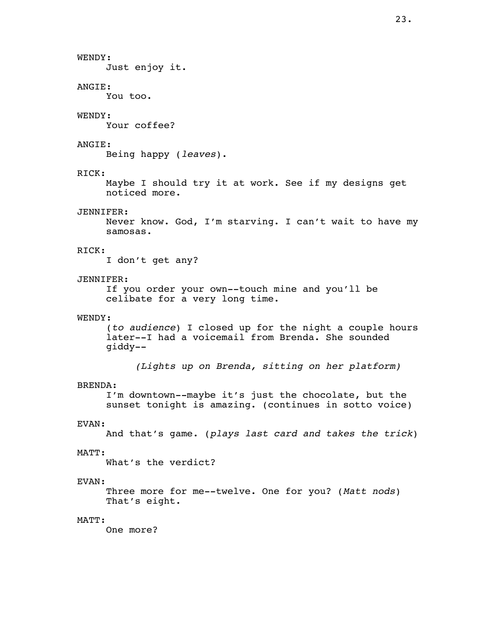WENDY: Just enjoy it. ANGIE: You too. WENDY: Your coffee? ANGIE: Being happy (*leaves*). RICK: Maybe I should try it at work. See if my designs get noticed more. JENNIFER: Never know. God, I'm starving. I can't wait to have my samosas. RICK: I don't get any? JENNIFER: If you order your own--touch mine and you'll be celibate for a very long time. WENDY: (*to audience*) I closed up for the night a couple hours later--I had a voicemail from Brenda. She sounded giddy-- *(Lights up on Brenda, sitting on her platform)* BRENDA: I'm downtown--maybe it's just the chocolate, but the sunset tonight is amazing. (continues in sotto voice) EVAN: And that's game. (*plays last card and takes the trick*) MATT: What's the verdict?

## EVAN:

 Three more for me--twelve. One for you? (*Matt nods*) That's eight.

## MATT:

One more?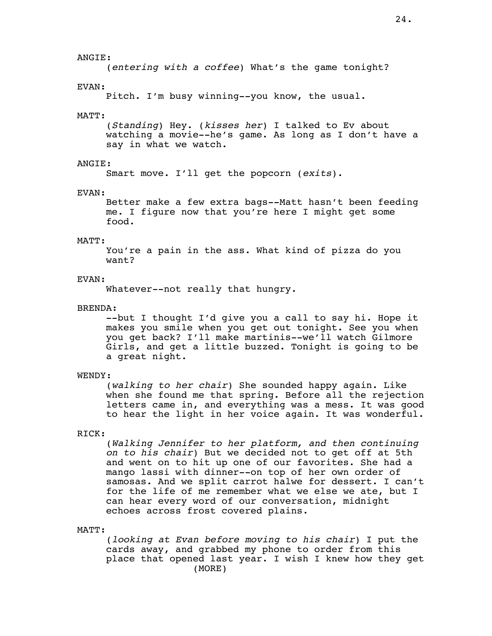## ANGIE:

(*entering with a coffee*) What's the game tonight?

### EVAN:

Pitch. I'm busy winning--you know, the usual.

#### MATT:

 (*Standing*) Hey. (*kisses her*) I talked to Ev about watching a movie--he's game. As long as I don't have a say in what we watch.

## ANGIE:

Smart move. I'll get the popcorn (*exits*).

#### EVAN:

 Better make a few extra bags--Matt hasn't been feeding me. I figure now that you're here I might get some food.

#### MATT:

 You're a pain in the ass. What kind of pizza do you want?

#### EVAN:

Whatever--not really that hungry.

## BRENDA:

 --but I thought I'd give you a call to say hi. Hope it makes you smile when you get out tonight. See you when you get back? I'll make martinis--we'll watch Gilmore Girls, and get a little buzzed. Tonight is going to be a great night.

## WENDY:

 (*walking to her chair*) She sounded happy again. Like when she found me that spring. Before all the rejection letters came in, and everything was a mess. It was good to hear the light in her voice again. It was wonderful.

## RICK:

 (*Walking Jennifer to her platform, and then continuing on to his chair*) But we decided not to get off at 5th and went on to hit up one of our favorites. She had a mango lassi with dinner--on top of her own order of samosas. And we split carrot halwe for dessert. I can't for the life of me remember what we else we ate, but I can hear every word of our conversation, midnight echoes across frost covered plains.

### MATT:

 (*looking at Evan before moving to his chair*) I put the cards away, and grabbed my phone to order from this place that opened last year. I wish I knew how they get (MORE)